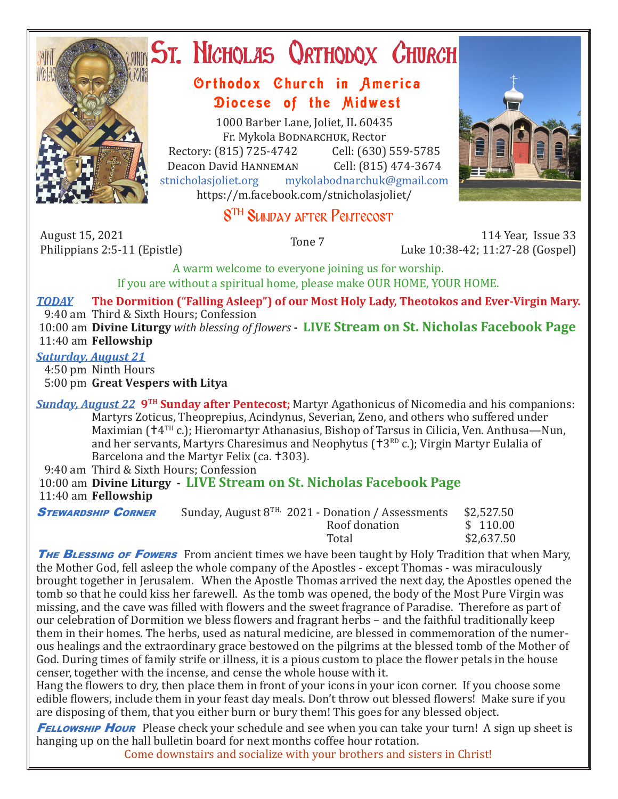

# **ST. NICHOLAS QRTHODOX CHURCH**

# Orthodox Church in America Diocese of the Midwest

1000 Barber Lane, Joliet, IL 60435 Fr. Mykola Bodnarchuk, Rector Rectory: (815) 725-4742 Cell: (630) 559-5785<br>Deacon David HANNEMAN Cell: (815) 474-3674 Deacon David Hanneman<br>stnicholasioliet.org mykola mykolabodnarchuk@gmail.com https://m.facebook.com/stnicholasjoliet/



# 8<sup>TH</sup> SUNDAY AFTER PENTECOST

August 15, 2021<br>Philippians 2:5-11 (Epistle)

Philippians 2:5-11 (Epistle) Tone 7 114 Year, Issue 33 Luke 10:38-42; 11:27-28 (Gospel)

A warm welcome to everyone joining us for worship. If you are without a spiritual home, please make OUR HOME, YOUR HOME.

*TODAY* **The Dormition ("Falling Asleep") of our Most Holy Lady, Theotokos and Ever-Virgin Mary.** 9:40 am Third & Sixth Hours; Confession 10:00 am **Divine Liturgy** *with blessing of flowers* **- LIVE Stream on St. Nicholas Facebook Page** 11:40 am **Fellowship**

#### *Saturday, August 21*

4:50 pm Ninth Hours

5:00 pm **Great Vespers with Litya**

*Sunday, August 22* **9TH Sunday after Pentecost;** Martyr Agathonicus of Nicomedia and his companions: Martyrs Zoticus, Theoprepius, Acindynus, Severian, Zeno, and others who suffered under Maximian ( $+4$ <sup>TH</sup> c.); Hieromartyr Athanasius, Bishop of Tarsus in Cilicia, Ven. Anthusa—Nun, and her servants, Martyrs Charesimus and Neophytus ( $\text{t}3^{\text{RD}}$  c.); Virgin Martyr Eulalia of Barcelona and the Martyr Felix (ca. †303).

9:40 am Third & Sixth Hours; Confession

 10:00 am **Divine Liturgy - LIVE Stream on St. Nicholas Facebook Page** 11:40 am **Fellowship**

| <b>STEWARDSHIP CORNER</b> | Sunday, August $8^{TH}$ , 2021 - Donation / Assessments | \$2,527.50                                                  |
|---------------------------|---------------------------------------------------------|-------------------------------------------------------------|
|                           | Roof donation                                           | \$110.00                                                    |
|                           |                                                         | $\phi$ $\alpha$ $\alpha$ $\alpha$ $\alpha$ $\beta$ $\alpha$ |

 Total \$2,637.50 **THE BLESSING OF FOWERS** From ancient times we have been taught by Holy Tradition that when Mary, the Mother God, fell asleep the whole company of the Apostles - except Thomas - was miraculously brought together in Jerusalem. When the Apostle Thomas arrived the next day, the Apostles opened the tomb so that he could kiss her farewell. As the tomb was opened, the body of the Most Pure Virgin was missing, and the cave was filled with flowers and the sweet fragrance of Paradise. Therefore as part of our celebration of Dormition we bless flowers and fragrant herbs – and the faithful traditionally keep them in their homes. The herbs, used as natural medicine, are blessed in commemoration of the numerous healings and the extraordinary grace bestowed on the pilgrims at the blessed tomb of the Mother of God. During times of family strife or illness, it is a pious custom to place the flower petals in the house censer, together with the incense, and cense the whole house with it.

Hang the flowers to dry, then place them in front of your icons in your icon corner. If you choose some edible flowers, include them in your feast day meals. Don't throw out blessed flowers! Make sure if you are disposing of them, that you either burn or bury them! This goes for any blessed object.

**FELLOWSHIP HOUR** Please check your schedule and see when you can take your turn! A sign up sheet is hanging up on the hall bulletin board for next months coffee hour rotation.

Come downstairs and socialize with your brothers and sisters in Christ!